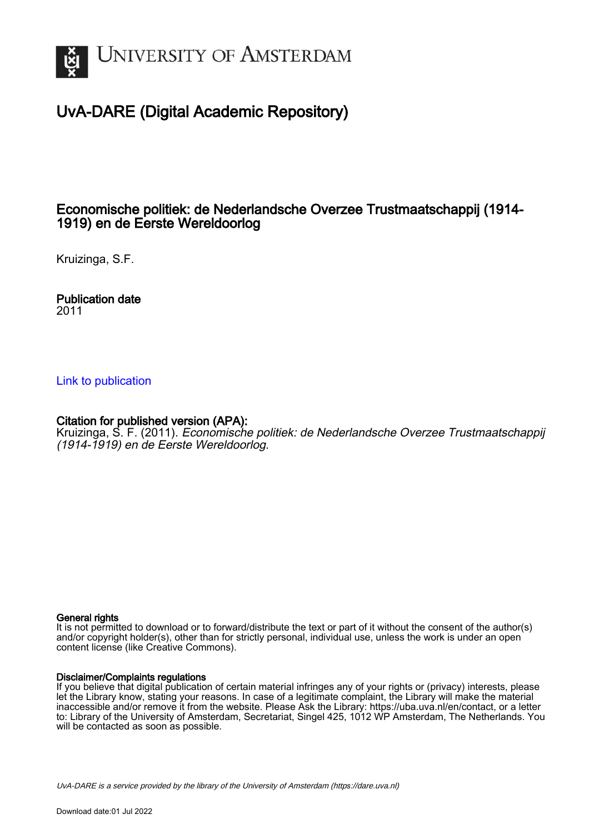

# UvA-DARE (Digital Academic Repository)

## Economische politiek: de Nederlandsche Overzee Trustmaatschappij (1914- 1919) en de Eerste Wereldoorlog

Kruizinga, S.F.

Publication date 2011

## [Link to publication](https://dare.uva.nl/personal/pure/en/publications/economische-politiek-de-nederlandsche-overzee-trustmaatschappij-19141919-en-de-eerste-wereldoorlog(37b53100-6899-40cc-948c-e1d3b85f4eb0).html)

## Citation for published version (APA):

Kruizinga, S. F. (2011). Economische politiek: de Nederlandsche Overzee Trustmaatschappij (1914-1919) en de Eerste Wereldoorlog.

#### General rights

It is not permitted to download or to forward/distribute the text or part of it without the consent of the author(s) and/or copyright holder(s), other than for strictly personal, individual use, unless the work is under an open content license (like Creative Commons).

### Disclaimer/Complaints regulations

If you believe that digital publication of certain material infringes any of your rights or (privacy) interests, please let the Library know, stating your reasons. In case of a legitimate complaint, the Library will make the material inaccessible and/or remove it from the website. Please Ask the Library: https://uba.uva.nl/en/contact, or a letter to: Library of the University of Amsterdam, Secretariat, Singel 425, 1012 WP Amsterdam, The Netherlands. You will be contacted as soon as possible.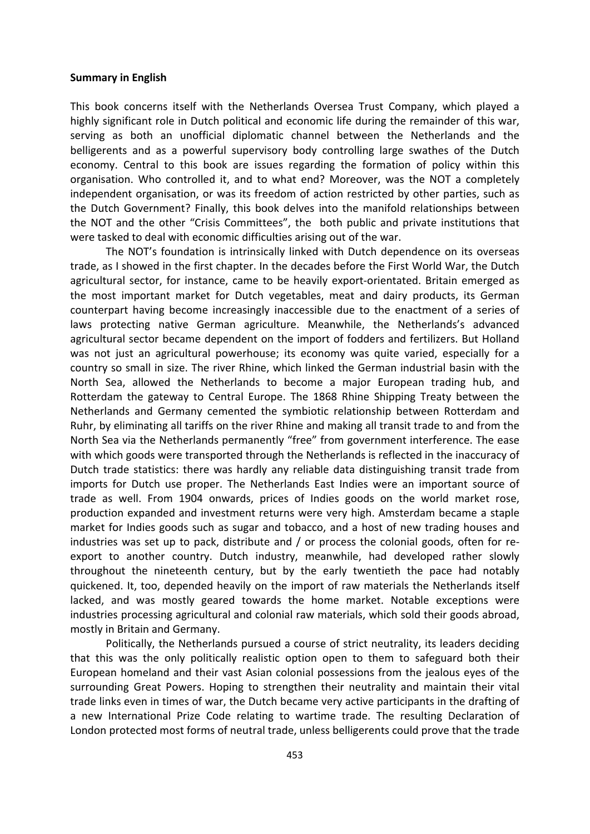#### **Summary in English**

This book concerns itself with the Netherlands Oversea Trust Company, which played a highly significant role in Dutch political and economic life during the remainder of this war, serving as both an unofficial diplomatic channel between the Netherlands and the belligerents and as a powerful supervisory body controlling large swathes of the Dutch economy. Central to this book are issues regarding the formation of policy within this organisation. Who controlled it, and to what end? Moreover, was the NOT a completely independent organisation, or was its freedom of action restricted by other parties, such as the Dutch Government? Finally, this book delves into the manifold relationships between the NOT and the other "Crisis Committees", the both public and private institutions that were tasked to deal with economic difficulties arising out of the war.

The NOT's foundation is intrinsically linked with Dutch dependence on its overseas trade, as I showed in the first chapter. In the decades before the First World War, the Dutch agricultural sector, for instance, came to be heavily export‐orientated. Britain emerged as the most important market for Dutch vegetables, meat and dairy products, its German counterpart having become increasingly inaccessible due to the enactment of a series of laws protecting native German agriculture. Meanwhile, the Netherlands's advanced agricultural sector became dependent on the import of fodders and fertilizers. But Holland was not just an agricultural powerhouse; its economy was quite varied, especially for a country so small in size. The river Rhine, which linked the German industrial basin with the North Sea, allowed the Netherlands to become a major European trading hub, and Rotterdam the gateway to Central Europe. The 1868 Rhine Shipping Treaty between the Netherlands and Germany cemented the symbiotic relationship between Rotterdam and Ruhr, by eliminating all tariffs on the river Rhine and making all transit trade to and from the North Sea via the Netherlands permanently "free" from government interference. The ease with which goods were transported through the Netherlands is reflected in the inaccuracy of Dutch trade statistics: there was hardly any reliable data distinguishing transit trade from imports for Dutch use proper. The Netherlands East Indies were an important source of trade as well. From 1904 onwards, prices of Indies goods on the world market rose, production expanded and investment returns were very high. Amsterdam became a staple market for Indies goods such as sugar and tobacco, and a host of new trading houses and industries was set up to pack, distribute and / or process the colonial goods, often for re‐ export to another country. Dutch industry, meanwhile, had developed rather slowly throughout the nineteenth century, but by the early twentieth the pace had notably quickened. It, too, depended heavily on the import of raw materials the Netherlands itself lacked, and was mostly geared towards the home market. Notable exceptions were industries processing agricultural and colonial raw materials, which sold their goods abroad, mostly in Britain and Germany.

Politically, the Netherlands pursued a course of strict neutrality, its leaders deciding that this was the only politically realistic option open to them to safeguard both their European homeland and their vast Asian colonial possessions from the jealous eyes of the surrounding Great Powers. Hoping to strengthen their neutrality and maintain their vital trade links even in times of war, the Dutch became very active participants in the drafting of a new International Prize Code relating to wartime trade. The resulting Declaration of London protected most forms of neutral trade, unless belligerents could prove that the trade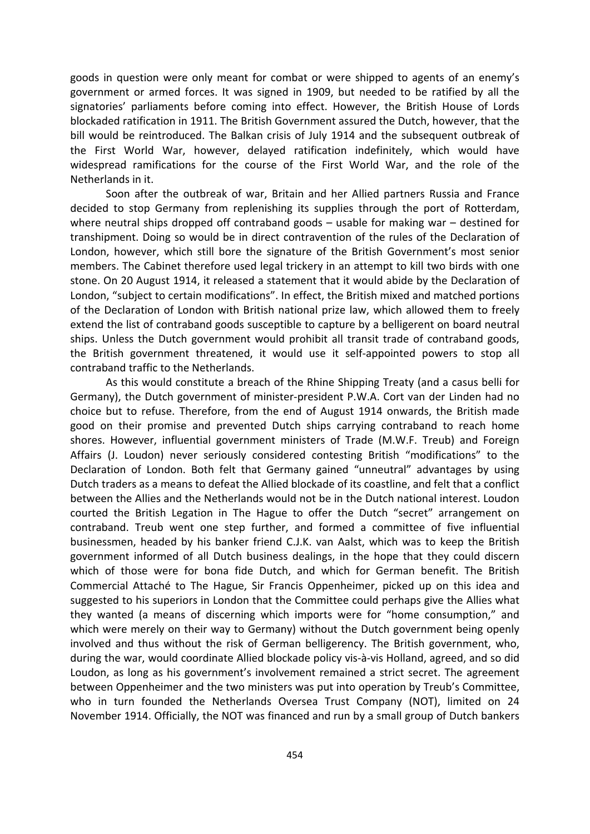goods in question were only meant for combat or were shipped to agents of an enemy's government or armed forces. It was signed in 1909, but needed to be ratified by all the signatories' parliaments before coming into effect. However, the British House of Lords blockaded ratification in 1911. The British Government assured the Dutch, however, that the bill would be reintroduced. The Balkan crisis of July 1914 and the subsequent outbreak of the First World War, however, delayed ratification indefinitely, which would have widespread ramifications for the course of the First World War, and the role of the Netherlands in it.

Soon after the outbreak of war, Britain and her Allied partners Russia and France decided to stop Germany from replenishing its supplies through the port of Rotterdam, where neutral ships dropped off contraband goods – usable for making war – destined for transhipment. Doing so would be in direct contravention of the rules of the Declaration of London, however, which still bore the signature of the British Government's most senior members. The Cabinet therefore used legal trickery in an attempt to kill two birds with one stone. On 20 August 1914, it released a statement that it would abide by the Declaration of London, "subject to certain modifications". In effect, the British mixed and matched portions of the Declaration of London with British national prize law, which allowed them to freely extend the list of contraband goods susceptible to capture by a belligerent on board neutral ships. Unless the Dutch government would prohibit all transit trade of contraband goods, the British government threatened, it would use it self‐appointed powers to stop all contraband traffic to the Netherlands.

As this would constitute a breach of the Rhine Shipping Treaty (and a casus belli for Germany), the Dutch government of minister‐president P.W.A. Cort van der Linden had no choice but to refuse. Therefore, from the end of August 1914 onwards, the British made good on their promise and prevented Dutch ships carrying contraband to reach home shores. However, influential government ministers of Trade (M.W.F. Treub) and Foreign Affairs (J. Loudon) never seriously considered contesting British "modifications" to the Declaration of London. Both felt that Germany gained "unneutral" advantages by using Dutch traders as a means to defeat the Allied blockade of its coastline, and felt that a conflict between the Allies and the Netherlands would not be in the Dutch national interest. Loudon courted the British Legation in The Hague to offer the Dutch "secret" arrangement on contraband. Treub went one step further, and formed a committee of five influential businessmen, headed by his banker friend C.J.K. van Aalst, which was to keep the British government informed of all Dutch business dealings, in the hope that they could discern which of those were for bona fide Dutch, and which for German benefit. The British Commercial Attaché to The Hague, Sir Francis Oppenheimer, picked up on this idea and suggested to his superiors in London that the Committee could perhaps give the Allies what they wanted (a means of discerning which imports were for "home consumption," and which were merely on their way to Germany) without the Dutch government being openly involved and thus without the risk of German belligerency. The British government, who, during the war, would coordinate Allied blockade policy vis‐à‐vis Holland, agreed, and so did Loudon, as long as his government's involvement remained a strict secret. The agreement between Oppenheimer and the two ministers was put into operation by Treub's Committee, who in turn founded the Netherlands Oversea Trust Company (NOT), limited on 24 November 1914. Officially, the NOT was financed and run by a small group of Dutch bankers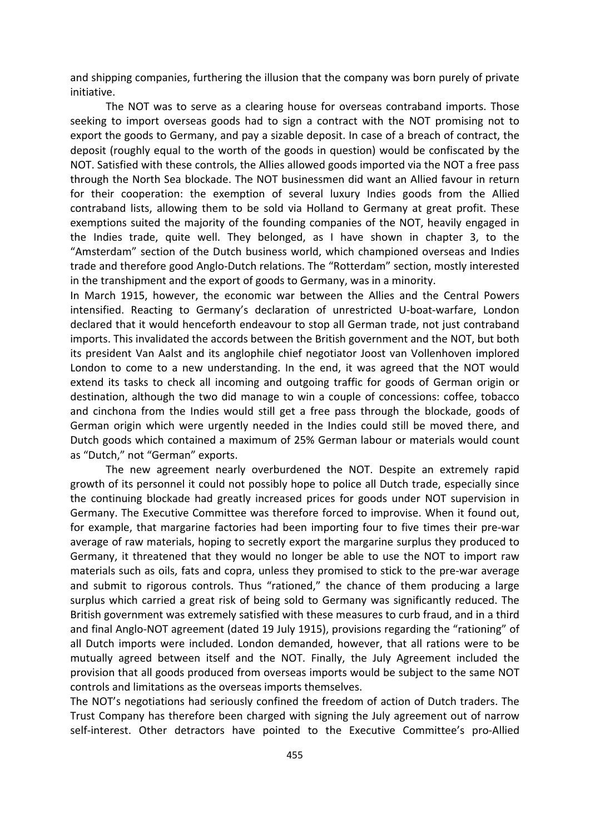and shipping companies, furthering the illusion that the company was born purely of private initiative.

The NOT was to serve as a clearing house for overseas contraband imports. Those seeking to import overseas goods had to sign a contract with the NOT promising not to export the goods to Germany, and pay a sizable deposit. In case of a breach of contract, the deposit (roughly equal to the worth of the goods in question) would be confiscated by the NOT. Satisfied with these controls, the Allies allowed goods imported via the NOT a free pass through the North Sea blockade. The NOT businessmen did want an Allied favour in return for their cooperation: the exemption of several luxury Indies goods from the Allied contraband lists, allowing them to be sold via Holland to Germany at great profit. These exemptions suited the majority of the founding companies of the NOT, heavily engaged in the Indies trade, quite well. They belonged, as I have shown in chapter 3, to the "Amsterdam" section of the Dutch business world, which championed overseas and Indies trade and therefore good Anglo‐Dutch relations. The "Rotterdam" section, mostly interested in the transhipment and the export of goods to Germany, was in a minority.

In March 1915, however, the economic war between the Allies and the Central Powers intensified. Reacting to Germany's declaration of unrestricted U‐boat‐warfare, London declared that it would henceforth endeavour to stop all German trade, not just contraband imports. This invalidated the accords between the British government and the NOT, but both its president Van Aalst and its anglophile chief negotiator Joost van Vollenhoven implored London to come to a new understanding. In the end, it was agreed that the NOT would extend its tasks to check all incoming and outgoing traffic for goods of German origin or destination, although the two did manage to win a couple of concessions: coffee, tobacco and cinchona from the Indies would still get a free pass through the blockade, goods of German origin which were urgently needed in the Indies could still be moved there, and Dutch goods which contained a maximum of 25% German labour or materials would count as "Dutch," not "German" exports.

The new agreement nearly overburdened the NOT. Despite an extremely rapid growth of its personnel it could not possibly hope to police all Dutch trade, especially since the continuing blockade had greatly increased prices for goods under NOT supervision in Germany. The Executive Committee was therefore forced to improvise. When it found out, for example, that margarine factories had been importing four to five times their pre‐war average of raw materials, hoping to secretly export the margarine surplus they produced to Germany, it threatened that they would no longer be able to use the NOT to import raw materials such as oils, fats and copra, unless they promised to stick to the pre‐war average and submit to rigorous controls. Thus "rationed," the chance of them producing a large surplus which carried a great risk of being sold to Germany was significantly reduced. The British government was extremely satisfied with these measures to curb fraud, and in a third and final Anglo‐NOT agreement (dated 19 July 1915), provisions regarding the "rationing" of all Dutch imports were included. London demanded, however, that all rations were to be mutually agreed between itself and the NOT. Finally, the July Agreement included the provision that all goods produced from overseas imports would be subject to the same NOT controls and limitations as the overseas imports themselves.

The NOT's negotiations had seriously confined the freedom of action of Dutch traders. The Trust Company has therefore been charged with signing the July agreement out of narrow self-interest. Other detractors have pointed to the Executive Committee's pro-Allied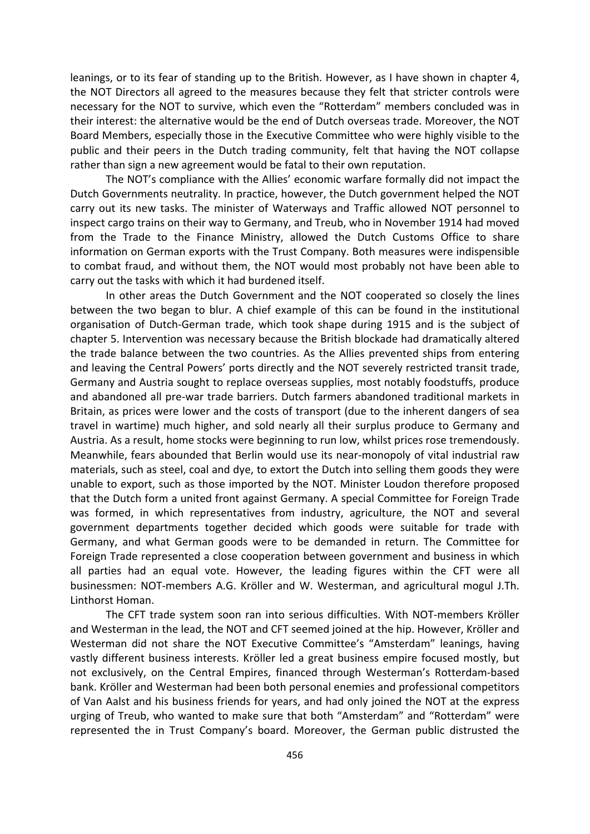leanings, or to its fear of standing up to the British. However, as I have shown in chapter 4, the NOT Directors all agreed to the measures because they felt that stricter controls were necessary for the NOT to survive, which even the "Rotterdam" members concluded was in their interest: the alternative would be the end of Dutch overseas trade. Moreover, the NOT Board Members, especially those in the Executive Committee who were highly visible to the public and their peers in the Dutch trading community, felt that having the NOT collapse rather than sign a new agreement would be fatal to their own reputation.

The NOT's compliance with the Allies' economic warfare formally did not impact the Dutch Governments neutrality. In practice, however, the Dutch government helped the NOT carry out its new tasks. The minister of Waterways and Traffic allowed NOT personnel to inspect cargo trains on their way to Germany, and Treub, who in November 1914 had moved from the Trade to the Finance Ministry, allowed the Dutch Customs Office to share information on German exports with the Trust Company. Both measures were indispensible to combat fraud, and without them, the NOT would most probably not have been able to carry out the tasks with which it had burdened itself.

In other areas the Dutch Government and the NOT cooperated so closely the lines between the two began to blur. A chief example of this can be found in the institutional organisation of Dutch‐German trade, which took shape during 1915 and is the subject of chapter 5. Intervention was necessary because the British blockade had dramatically altered the trade balance between the two countries. As the Allies prevented ships from entering and leaving the Central Powers' ports directly and the NOT severely restricted transit trade, Germany and Austria sought to replace overseas supplies, most notably foodstuffs, produce and abandoned all pre‐war trade barriers. Dutch farmers abandoned traditional markets in Britain, as prices were lower and the costs of transport (due to the inherent dangers of sea travel in wartime) much higher, and sold nearly all their surplus produce to Germany and Austria. As a result, home stocks were beginning to run low, whilst prices rose tremendously. Meanwhile, fears abounded that Berlin would use its near‐monopoly of vital industrial raw materials, such as steel, coal and dye, to extort the Dutch into selling them goods they were unable to export, such as those imported by the NOT. Minister Loudon therefore proposed that the Dutch form a united front against Germany. A special Committee for Foreign Trade was formed, in which representatives from industry, agriculture, the NOT and several government departments together decided which goods were suitable for trade with Germany, and what German goods were to be demanded in return. The Committee for Foreign Trade represented a close cooperation between government and business in which all parties had an equal vote. However, the leading figures within the CFT were all businessmen: NOT‐members A.G. Kröller and W. Westerman, and agricultural mogul J.Th. Linthorst Homan.

The CFT trade system soon ran into serious difficulties. With NOT‐members Kröller and Westerman in the lead, the NOT and CFT seemed joined at the hip. However, Kröller and Westerman did not share the NOT Executive Committee's "Amsterdam" leanings, having vastly different business interests. Kröller led a great business empire focused mostly, but not exclusively, on the Central Empires, financed through Westerman's Rotterdam‐based bank. Kröller and Westerman had been both personal enemies and professional competitors of Van Aalst and his business friends for years, and had only joined the NOT at the express urging of Treub, who wanted to make sure that both "Amsterdam" and "Rotterdam" were represented the in Trust Company's board. Moreover, the German public distrusted the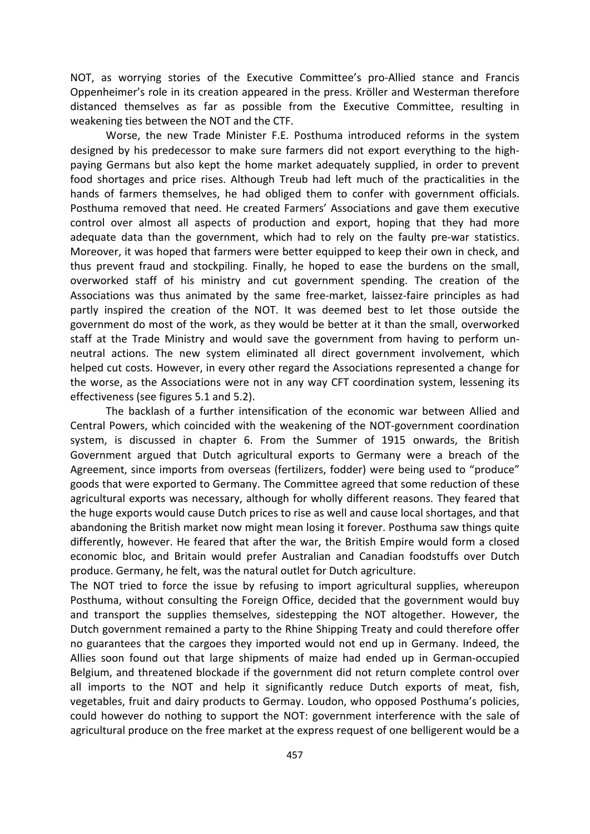NOT, as worrying stories of the Executive Committee's pro‐Allied stance and Francis Oppenheimer's role in its creation appeared in the press. Kröller and Westerman therefore distanced themselves as far as possible from the Executive Committee, resulting in weakening ties between the NOT and the CTF.

Worse, the new Trade Minister F.E. Posthuma introduced reforms in the system designed by his predecessor to make sure farmers did not export everything to the high‐ paying Germans but also kept the home market adequately supplied, in order to prevent food shortages and price rises. Although Treub had left much of the practicalities in the hands of farmers themselves, he had obliged them to confer with government officials. Posthuma removed that need. He created Farmers' Associations and gave them executive control over almost all aspects of production and export, hoping that they had more adequate data than the government, which had to rely on the faulty pre-war statistics. Moreover, it was hoped that farmers were better equipped to keep their own in check, and thus prevent fraud and stockpiling. Finally, he hoped to ease the burdens on the small, overworked staff of his ministry and cut government spending. The creation of the Associations was thus animated by the same free‐market, laissez‐faire principles as had partly inspired the creation of the NOT. It was deemed best to let those outside the government do most of the work, as they would be better at it than the small, overworked staff at the Trade Ministry and would save the government from having to perform un‐ neutral actions. The new system eliminated all direct government involvement, which helped cut costs. However, in every other regard the Associations represented a change for the worse, as the Associations were not in any way CFT coordination system, lessening its effectiveness (see figures 5.1 and 5.2).

The backlash of a further intensification of the economic war between Allied and Central Powers, which coincided with the weakening of the NOT‐government coordination system, is discussed in chapter 6. From the Summer of 1915 onwards, the British Government argued that Dutch agricultural exports to Germany were a breach of the Agreement, since imports from overseas (fertilizers, fodder) were being used to "produce" goods that were exported to Germany. The Committee agreed that some reduction of these agricultural exports was necessary, although for wholly different reasons. They feared that the huge exports would cause Dutch prices to rise as well and cause local shortages, and that abandoning the British market now might mean losing it forever. Posthuma saw things quite differently, however. He feared that after the war, the British Empire would form a closed economic bloc, and Britain would prefer Australian and Canadian foodstuffs over Dutch produce. Germany, he felt, was the natural outlet for Dutch agriculture.

The NOT tried to force the issue by refusing to import agricultural supplies, whereupon Posthuma, without consulting the Foreign Office, decided that the government would buy and transport the supplies themselves, sidestepping the NOT altogether. However, the Dutch government remained a party to the Rhine Shipping Treaty and could therefore offer no guarantees that the cargoes they imported would not end up in Germany. Indeed, the Allies soon found out that large shipments of maize had ended up in German‐occupied Belgium, and threatened blockade if the government did not return complete control over all imports to the NOT and help it significantly reduce Dutch exports of meat, fish, vegetables, fruit and dairy products to Germay. Loudon, who opposed Posthuma's policies, could however do nothing to support the NOT: government interference with the sale of agricultural produce on the free market at the express request of one belligerent would be a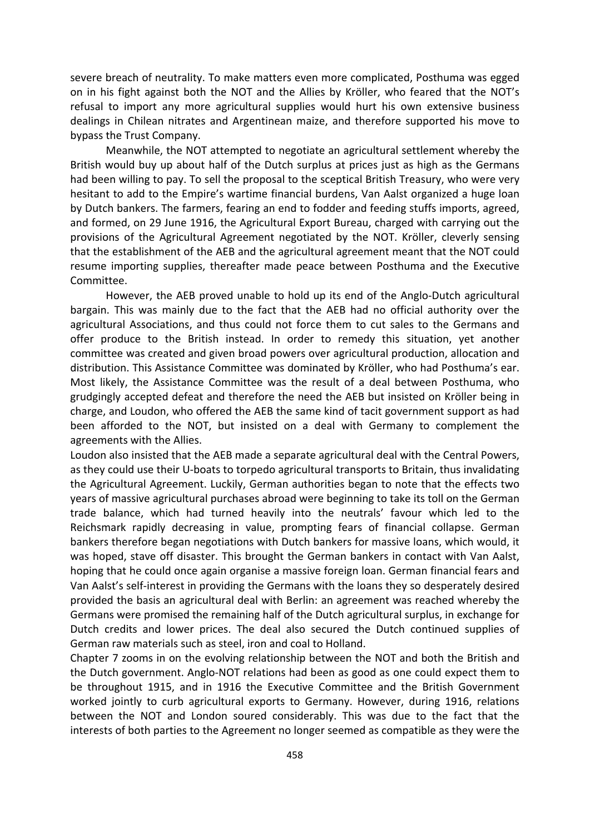severe breach of neutrality. To make matters even more complicated, Posthuma was egged on in his fight against both the NOT and the Allies by Kröller, who feared that the NOT's refusal to import any more agricultural supplies would hurt his own extensive business dealings in Chilean nitrates and Argentinean maize, and therefore supported his move to bypass the Trust Company.

Meanwhile, the NOT attempted to negotiate an agricultural settlement whereby the British would buy up about half of the Dutch surplus at prices just as high as the Germans had been willing to pay. To sell the proposal to the sceptical British Treasury, who were very hesitant to add to the Empire's wartime financial burdens, Van Aalst organized a huge loan by Dutch bankers. The farmers, fearing an end to fodder and feeding stuffs imports, agreed, and formed, on 29 June 1916, the Agricultural Export Bureau, charged with carrying out the provisions of the Agricultural Agreement negotiated by the NOT. Kröller, cleverly sensing that the establishment of the AEB and the agricultural agreement meant that the NOT could resume importing supplies, thereafter made peace between Posthuma and the Executive Committee.

However, the AEB proved unable to hold up its end of the Anglo‐Dutch agricultural bargain. This was mainly due to the fact that the AEB had no official authority over the agricultural Associations, and thus could not force them to cut sales to the Germans and offer produce to the British instead. In order to remedy this situation, yet another committee was created and given broad powers over agricultural production, allocation and distribution. This Assistance Committee was dominated by Kröller, who had Posthuma's ear. Most likely, the Assistance Committee was the result of a deal between Posthuma, who grudgingly accepted defeat and therefore the need the AEB but insisted on Kröller being in charge, and Loudon, who offered the AEB the same kind of tacit government support as had been afforded to the NOT, but insisted on a deal with Germany to complement the agreements with the Allies.

Loudon also insisted that the AEB made a separate agricultural deal with the Central Powers, as they could use their U‐boats to torpedo agricultural transports to Britain, thus invalidating the Agricultural Agreement. Luckily, German authorities began to note that the effects two years of massive agricultural purchases abroad were beginning to take its toll on the German trade balance, which had turned heavily into the neutrals' favour which led to the Reichsmark rapidly decreasing in value, prompting fears of financial collapse. German bankers therefore began negotiations with Dutch bankers for massive loans, which would, it was hoped, stave off disaster. This brought the German bankers in contact with Van Aalst, hoping that he could once again organise a massive foreign loan. German financial fears and Van Aalst's self‐interest in providing the Germans with the loans they so desperately desired provided the basis an agricultural deal with Berlin: an agreement was reached whereby the Germans were promised the remaining half of the Dutch agricultural surplus, in exchange for Dutch credits and lower prices. The deal also secured the Dutch continued supplies of German raw materials such as steel, iron and coal to Holland.

Chapter 7 zooms in on the evolving relationship between the NOT and both the British and the Dutch government. Anglo‐NOT relations had been as good as one could expect them to be throughout 1915, and in 1916 the Executive Committee and the British Government worked jointly to curb agricultural exports to Germany. However, during 1916, relations between the NOT and London soured considerably. This was due to the fact that the interests of both parties to the Agreement no longer seemed as compatible as they were the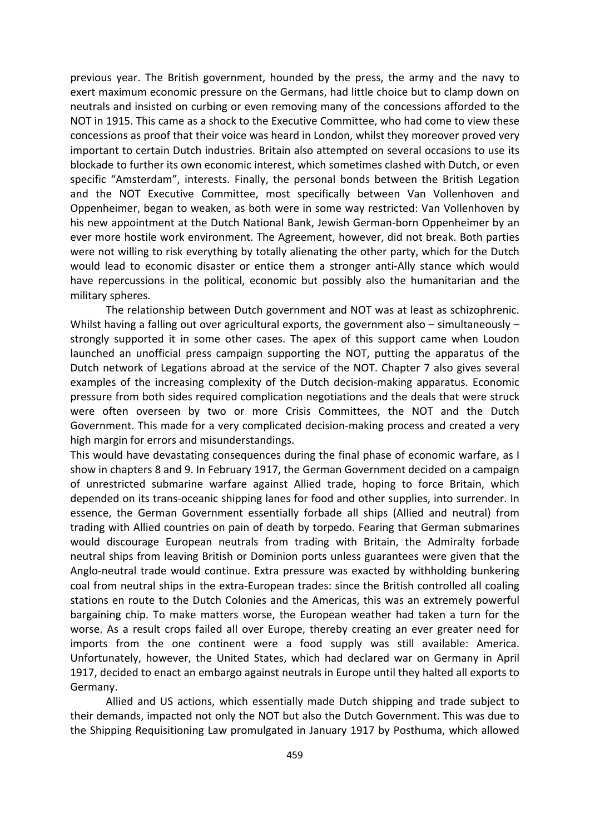previous year. The British government, hounded by the press, the army and the navy to exert maximum economic pressure on the Germans, had little choice but to clamp down on neutrals and insisted on curbing or even removing many of the concessions afforded to the NOT in 1915. This came as a shock to the Executive Committee, who had come to view these concessions as proof that their voice was heard in London, whilst they moreover proved very important to certain Dutch industries. Britain also attempted on several occasions to use its blockade to further its own economic interest, which sometimes clashed with Dutch, or even specific "Amsterdam", interests. Finally, the personal bonds between the British Legation and the NOT Executive Committee, most specifically between Van Vollenhoven and Oppenheimer, began to weaken, as both were in some way restricted: Van Vollenhoven by his new appointment at the Dutch National Bank, Jewish German‐born Oppenheimer by an ever more hostile work environment. The Agreement, however, did not break. Both parties were not willing to risk everything by totally alienating the other party, which for the Dutch would lead to economic disaster or entice them a stronger anti-Ally stance which would have repercussions in the political, economic but possibly also the humanitarian and the military spheres.

The relationship between Dutch government and NOT was at least as schizophrenic. Whilst having a falling out over agricultural exports, the government also – simultaneously – strongly supported it in some other cases. The apex of this support came when Loudon launched an unofficial press campaign supporting the NOT, putting the apparatus of the Dutch network of Legations abroad at the service of the NOT. Chapter 7 also gives several examples of the increasing complexity of the Dutch decision‐making apparatus. Economic pressure from both sides required complication negotiations and the deals that were struck were often overseen by two or more Crisis Committees, the NOT and the Dutch Government. This made for a very complicated decision-making process and created a very high margin for errors and misunderstandings.

This would have devastating consequences during the final phase of economic warfare, as I show in chapters 8 and 9. In February 1917, the German Government decided on a campaign of unrestricted submarine warfare against Allied trade, hoping to force Britain, which depended on its trans‐oceanic shipping lanes for food and other supplies, into surrender. In essence, the German Government essentially forbade all ships (Allied and neutral) from trading with Allied countries on pain of death by torpedo. Fearing that German submarines would discourage European neutrals from trading with Britain, the Admiralty forbade neutral ships from leaving British or Dominion ports unless guarantees were given that the Anglo‐neutral trade would continue. Extra pressure was exacted by withholding bunkering coal from neutral ships in the extra-European trades: since the British controlled all coaling stations en route to the Dutch Colonies and the Americas, this was an extremely powerful bargaining chip. To make matters worse, the European weather had taken a turn for the worse. As a result crops failed all over Europe, thereby creating an ever greater need for imports from the one continent were a food supply was still available: America. Unfortunately, however, the United States, which had declared war on Germany in April 1917, decided to enact an embargo against neutrals in Europe until they halted all exports to Germany.

Allied and US actions, which essentially made Dutch shipping and trade subject to their demands, impacted not only the NOT but also the Dutch Government. This was due to the Shipping Requisitioning Law promulgated in January 1917 by Posthuma, which allowed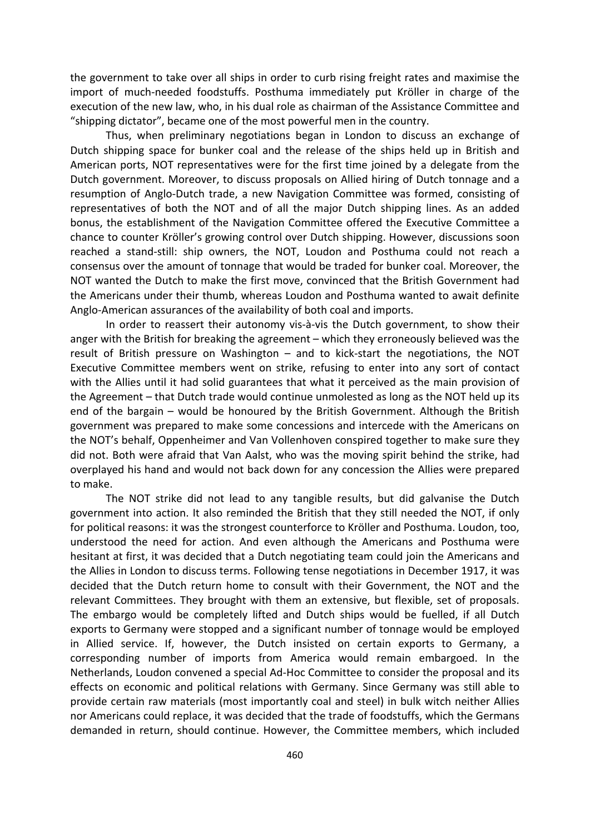the government to take over all ships in order to curb rising freight rates and maximise the import of much‐needed foodstuffs. Posthuma immediately put Kröller in charge of the execution of the new law, who, in his dual role as chairman of the Assistance Committee and "shipping dictator", became one of the most powerful men in the country.

Thus, when preliminary negotiations began in London to discuss an exchange of Dutch shipping space for bunker coal and the release of the ships held up in British and American ports, NOT representatives were for the first time joined by a delegate from the Dutch government. Moreover, to discuss proposals on Allied hiring of Dutch tonnage and a resumption of Anglo‐Dutch trade, a new Navigation Committee was formed, consisting of representatives of both the NOT and of all the major Dutch shipping lines. As an added bonus, the establishment of the Navigation Committee offered the Executive Committee a chance to counter Kröller's growing control over Dutch shipping. However, discussions soon reached a stand‐still: ship owners, the NOT, Loudon and Posthuma could not reach a consensus over the amount of tonnage that would be traded for bunker coal. Moreover, the NOT wanted the Dutch to make the first move, convinced that the British Government had the Americans under their thumb, whereas Loudon and Posthuma wanted to await definite Anglo‐American assurances of the availability of both coal and imports.

In order to reassert their autonomy vis‐à‐vis the Dutch government, to show their anger with the British for breaking the agreement – which they erroneously believed was the result of British pressure on Washington – and to kick‐start the negotiations, the NOT Executive Committee members went on strike, refusing to enter into any sort of contact with the Allies until it had solid guarantees that what it perceived as the main provision of the Agreement – that Dutch trade would continue unmolested as long as the NOT held up its end of the bargain – would be honoured by the British Government. Although the British government was prepared to make some concessions and intercede with the Americans on the NOT's behalf, Oppenheimer and Van Vollenhoven conspired together to make sure they did not. Both were afraid that Van Aalst, who was the moving spirit behind the strike, had overplayed his hand and would not back down for any concession the Allies were prepared to make.

The NOT strike did not lead to any tangible results, but did galvanise the Dutch government into action. It also reminded the British that they still needed the NOT, if only for political reasons: it was the strongest counterforce to Kröller and Posthuma. Loudon, too, understood the need for action. And even although the Americans and Posthuma were hesitant at first, it was decided that a Dutch negotiating team could join the Americans and the Allies in London to discuss terms. Following tense negotiations in December 1917, it was decided that the Dutch return home to consult with their Government, the NOT and the relevant Committees. They brought with them an extensive, but flexible, set of proposals. The embargo would be completely lifted and Dutch ships would be fuelled, if all Dutch exports to Germany were stopped and a significant number of tonnage would be employed in Allied service. If, however, the Dutch insisted on certain exports to Germany, a corresponding number of imports from America would remain embargoed. In the Netherlands, Loudon convened a special Ad‐Hoc Committee to consider the proposal and its effects on economic and political relations with Germany. Since Germany was still able to provide certain raw materials (most importantly coal and steel) in bulk witch neither Allies nor Americans could replace, it was decided that the trade of foodstuffs, which the Germans demanded in return, should continue. However, the Committee members, which included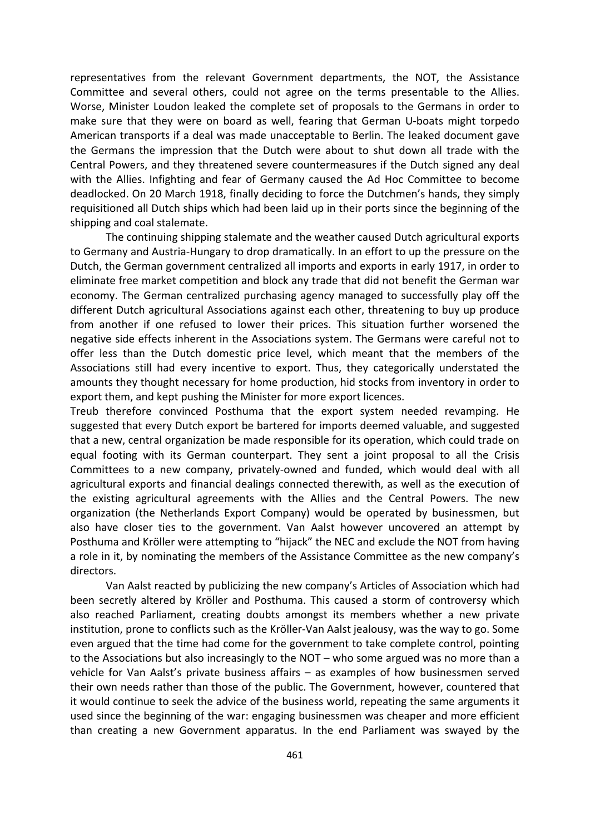representatives from the relevant Government departments, the NOT, the Assistance Committee and several others, could not agree on the terms presentable to the Allies. Worse, Minister Loudon leaked the complete set of proposals to the Germans in order to make sure that they were on board as well, fearing that German U‐boats might torpedo American transports if a deal was made unacceptable to Berlin. The leaked document gave the Germans the impression that the Dutch were about to shut down all trade with the Central Powers, and they threatened severe countermeasures if the Dutch signed any deal with the Allies. Infighting and fear of Germany caused the Ad Hoc Committee to become deadlocked. On 20 March 1918, finally deciding to force the Dutchmen's hands, they simply requisitioned all Dutch ships which had been laid up in their ports since the beginning of the shipping and coal stalemate.

The continuing shipping stalemate and the weather caused Dutch agricultural exports to Germany and Austria‐Hungary to drop dramatically. In an effort to up the pressure on the Dutch, the German government centralized all imports and exports in early 1917, in order to eliminate free market competition and block any trade that did not benefit the German war economy. The German centralized purchasing agency managed to successfully play off the different Dutch agricultural Associations against each other, threatening to buy up produce from another if one refused to lower their prices. This situation further worsened the negative side effects inherent in the Associations system. The Germans were careful not to offer less than the Dutch domestic price level, which meant that the members of the Associations still had every incentive to export. Thus, they categorically understated the amounts they thought necessary for home production, hid stocks from inventory in order to export them, and kept pushing the Minister for more export licences.

Treub therefore convinced Posthuma that the export system needed revamping. He suggested that every Dutch export be bartered for imports deemed valuable, and suggested that a new, central organization be made responsible for its operation, which could trade on equal footing with its German counterpart. They sent a joint proposal to all the Crisis Committees to a new company, privately‐owned and funded, which would deal with all agricultural exports and financial dealings connected therewith, as well as the execution of the existing agricultural agreements with the Allies and the Central Powers. The new organization (the Netherlands Export Company) would be operated by businessmen, but also have closer ties to the government. Van Aalst however uncovered an attempt by Posthuma and Kröller were attempting to "hijack" the NEC and exclude the NOT from having a role in it, by nominating the members of the Assistance Committee as the new company's directors.

Van Aalst reacted by publicizing the new company's Articles of Association which had been secretly altered by Kröller and Posthuma. This caused a storm of controversy which also reached Parliament, creating doubts amongst its members whether a new private institution, prone to conflicts such as the Kröller‐Van Aalst jealousy, was the way to go. Some even argued that the time had come for the government to take complete control, pointing to the Associations but also increasingly to the NOT – who some argued was no more than a vehicle for Van Aalst's private business affairs – as examples of how businessmen served their own needs rather than those of the public. The Government, however, countered that it would continue to seek the advice of the business world, repeating the same arguments it used since the beginning of the war: engaging businessmen was cheaper and more efficient than creating a new Government apparatus. In the end Parliament was swayed by the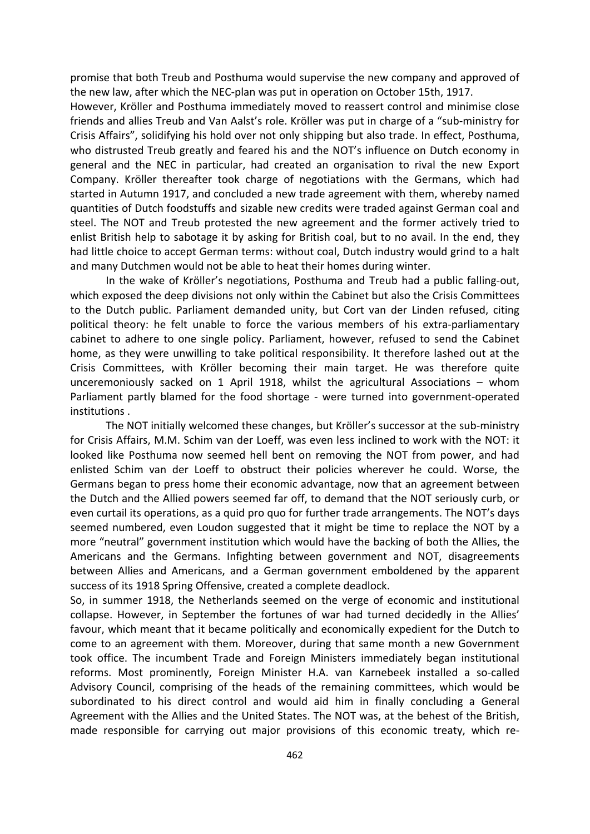promise that both Treub and Posthuma would supervise the new company and approved of the new law, after which the NEC‐plan was put in operation on October 15th, 1917.

However, Kröller and Posthuma immediately moved to reassert control and minimise close friends and allies Treub and Van Aalst's role. Kröller was put in charge of a "sub-ministry for Crisis Affairs", solidifying his hold over not only shipping but also trade. In effect, Posthuma, who distrusted Treub greatly and feared his and the NOT's influence on Dutch economy in general and the NEC in particular, had created an organisation to rival the new Export Company. Kröller thereafter took charge of negotiations with the Germans, which had started in Autumn 1917, and concluded a new trade agreement with them, whereby named quantities of Dutch foodstuffs and sizable new credits were traded against German coal and steel. The NOT and Treub protested the new agreement and the former actively tried to enlist British help to sabotage it by asking for British coal, but to no avail. In the end, they had little choice to accept German terms: without coal, Dutch industry would grind to a halt and many Dutchmen would not be able to heat their homes during winter.

In the wake of Kröller's negotiations, Posthuma and Treub had a public falling‐out, which exposed the deep divisions not only within the Cabinet but also the Crisis Committees to the Dutch public. Parliament demanded unity, but Cort van der Linden refused, citing political theory: he felt unable to force the various members of his extra-parliamentary cabinet to adhere to one single policy. Parliament, however, refused to send the Cabinet home, as they were unwilling to take political responsibility. It therefore lashed out at the Crisis Committees, with Kröller becoming their main target. He was therefore quite unceremoniously sacked on 1 April 1918, whilst the agricultural Associations – whom Parliament partly blamed for the food shortage - were turned into government-operated institutions .

The NOT initially welcomed these changes, but Kröller's successor at the sub-ministry for Crisis Affairs, M.M. Schim van der Loeff, was even less inclined to work with the NOT: it looked like Posthuma now seemed hell bent on removing the NOT from power, and had enlisted Schim van der Loeff to obstruct their policies wherever he could. Worse, the Germans began to press home their economic advantage, now that an agreement between the Dutch and the Allied powers seemed far off, to demand that the NOT seriously curb, or even curtail its operations, as a quid pro quo for further trade arrangements. The NOT's days seemed numbered, even Loudon suggested that it might be time to replace the NOT by a more "neutral" government institution which would have the backing of both the Allies, the Americans and the Germans. Infighting between government and NOT, disagreements between Allies and Americans, and a German government emboldened by the apparent success of its 1918 Spring Offensive, created a complete deadlock.

So, in summer 1918, the Netherlands seemed on the verge of economic and institutional collapse. However, in September the fortunes of war had turned decidedly in the Allies' favour, which meant that it became politically and economically expedient for the Dutch to come to an agreement with them. Moreover, during that same month a new Government took office. The incumbent Trade and Foreign Ministers immediately began institutional reforms. Most prominently, Foreign Minister H.A. van Karnebeek installed a so-called Advisory Council, comprising of the heads of the remaining committees, which would be subordinated to his direct control and would aid him in finally concluding a General Agreement with the Allies and the United States. The NOT was, at the behest of the British, made responsible for carrying out major provisions of this economic treaty, which re